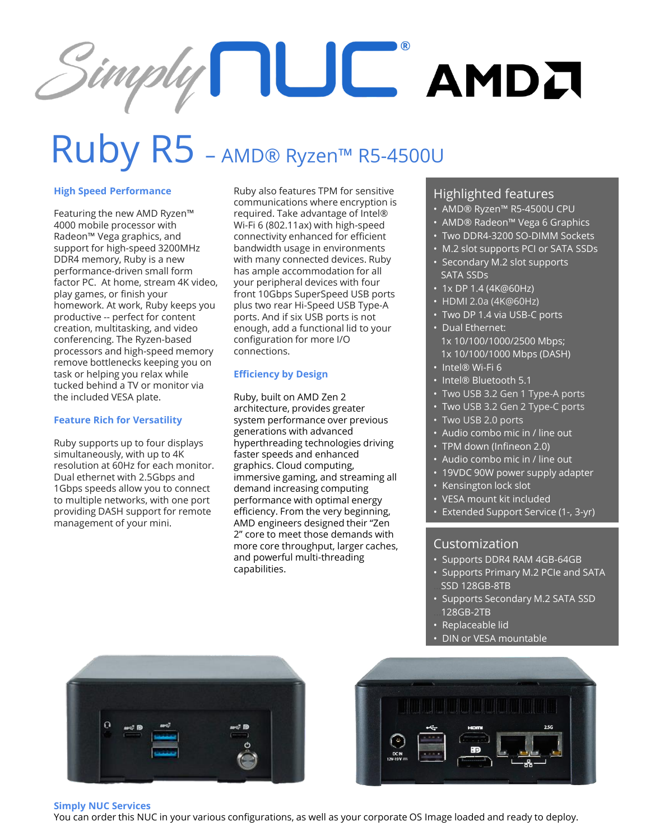# $Simply \prod \bigcup C$  AMD $I$

### Ruby R5 – AMD® Ryzen™ R5-4500U

#### **High Speed Performance**

Featuring the new AMD Ryzen™ 4000 mobile processor with Radeon™ Vega graphics, and support for high-speed 3200MHz DDR4 memory, Ruby is a new performance-driven small form factor PC. At home, stream 4K video, play games, or finish your homework. At work, Ruby keeps you productive -- perfect for content creation, multitasking, and video conferencing. The Ryzen-based processors and high-speed memory remove bottlenecks keeping you on task or helping you relax while tucked behind a TV or monitor via the included VESA plate.

#### **Feature Rich for Versatility**

Ruby supports up to four displays simultaneously, with up to 4K resolution at 60Hz for each monitor. Dual ethernet with 2.5Gbps and 1Gbps speeds allow you to connect to multiple networks, with one port providing DASH support for remote management of your mini.

Ruby also features TPM for sensitive communications where encryption is required. Take advantage of Intel® Wi-Fi 6 (802.11ax) with high-speed connectivity enhanced for efficient bandwidth usage in environments with many connected devices. Ruby has ample accommodation for all your peripheral devices with four front 10Gbps SuperSpeed USB ports plus two rear Hi-Speed USB Type-A ports. And if six USB ports is not enough, add a functional lid to your configuration for more I/O connections.

#### **Efficiency by Design**

Ruby, built on AMD Zen 2 architecture, provides greater system performance over previous generations with advanced hyperthreading technologies driving faster speeds and enhanced graphics. Cloud computing, immersive gaming, and streaming all demand increasing computing performance with optimal energy efficiency. From the very beginning, AMD engineers designed their "Zen 2" core to meet those demands with more core throughput, larger caches, and powerful multi-threading capabilities.

#### Highlighted features

- AMD® Ryzen™ R5-4500U CPU
- AMD® Radeon™ Vega 6 Graphics
- Two DDR4-3200 SO-DIMM Sockets
- M.2 slot supports PCI or SATA SSDs
- Secondary M.2 slot supports SATA SSDs
- 1x DP 1.4 (4K@60Hz)
- HDMI 2.0a (4K@60Hz)
- Two DP 1.4 via USB-C ports • Dual Ethernet:
	- 1x 10/100/1000/2500 Mbps; 1x 10/100/1000 Mbps (DASH)
- Intel® Wi-Fi 6
- Intel® Bluetooth 5.1
- Two USB 3.2 Gen 1 Type-A ports
- Two USB 3.2 Gen 2 Type-C ports
- Two USB 2.0 ports
- Audio combo mic in / line out
- TPM down (Infineon 2.0)
- Audio combo mic in / line out
- 19VDC 90W power supply adapter
- Kensington lock slot
- VESA mount kit included
- Extended Support Service (1-, 3-yr)

#### Customization

- Supports DDR4 RAM 4GB-64GB
- Supports Primary M.2 PCIe and SATA SSD 128GB-8TB
- Supports Secondary M.2 SATA SSD ...128GB-2TB
- Replaceable lid
- DIN or VESA mountable





#### **Simply NUC Services**

You can order this NUC in your various configurations, as well as your corporate OS Image loaded and ready to deploy.